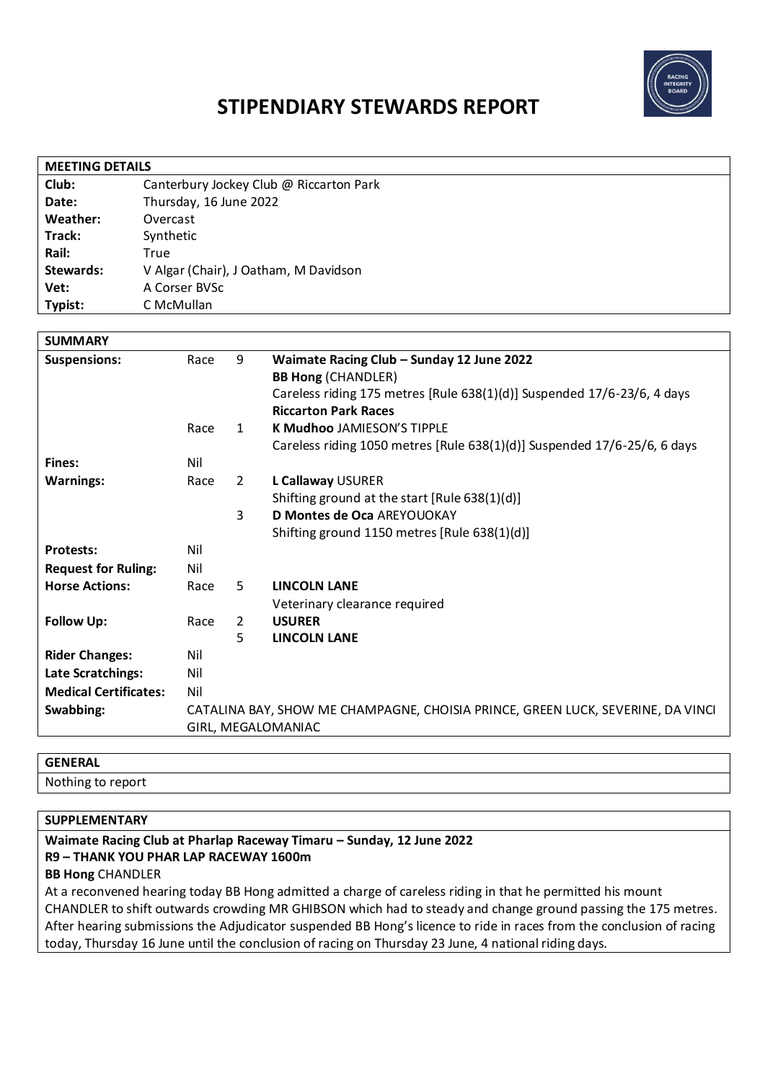

# **STIPENDIARY STEWARDS REPORT**

| <b>MEETING DETAILS</b> |                                         |  |  |
|------------------------|-----------------------------------------|--|--|
| Club:                  | Canterbury Jockey Club @ Riccarton Park |  |  |
| Date:                  | Thursday, 16 June 2022                  |  |  |
| Weather:               | Overcast                                |  |  |
| Track:                 | Synthetic                               |  |  |
| Rail:                  | True                                    |  |  |
| Stewards:              | V Algar (Chair), J Oatham, M Davidson   |  |  |
| Vet:                   | A Corser BVSc                           |  |  |
| Typist:                | C McMullan                              |  |  |

| <b>SUMMARY</b>               |                                                                                 |                |                                                                          |
|------------------------------|---------------------------------------------------------------------------------|----------------|--------------------------------------------------------------------------|
| <b>Suspensions:</b>          | Race                                                                            | 9              | Waimate Racing Club - Sunday 12 June 2022                                |
|                              |                                                                                 |                | <b>BB Hong (CHANDLER)</b>                                                |
|                              |                                                                                 |                | Careless riding 175 metres [Rule 638(1)(d)] Suspended 17/6-23/6, 4 days  |
|                              |                                                                                 |                | <b>Riccarton Park Races</b>                                              |
|                              | Race                                                                            | $\mathbf{1}$   | <b>K Mudhoo JAMIESON'S TIPPLE</b>                                        |
|                              |                                                                                 |                | Careless riding 1050 metres [Rule 638(1)(d)] Suspended 17/6-25/6, 6 days |
| <b>Fines:</b>                | Nil                                                                             |                |                                                                          |
| <b>Warnings:</b>             | Race                                                                            | 2              | L Callaway USURER                                                        |
|                              |                                                                                 |                | Shifting ground at the start [Rule 638(1)(d)]                            |
|                              |                                                                                 | 3              | D Montes de Oca AREYOUOKAY                                               |
|                              |                                                                                 |                | Shifting ground 1150 metres [Rule 638(1)(d)]                             |
| <b>Protests:</b>             | Nil                                                                             |                |                                                                          |
| <b>Request for Ruling:</b>   | Nil                                                                             |                |                                                                          |
| <b>Horse Actions:</b>        | Race                                                                            | 5              | <b>LINCOLN LANE</b>                                                      |
|                              |                                                                                 |                | Veterinary clearance required                                            |
| <b>Follow Up:</b>            | Race                                                                            | $\overline{2}$ | <b>USURER</b>                                                            |
|                              |                                                                                 | 5.             | <b>LINCOLN LANE</b>                                                      |
| <b>Rider Changes:</b>        | Nil                                                                             |                |                                                                          |
| Late Scratchings:            | Nil                                                                             |                |                                                                          |
| <b>Medical Certificates:</b> | Nil                                                                             |                |                                                                          |
| Swabbing:                    | CATALINA BAY, SHOW ME CHAMPAGNE, CHOISIA PRINCE, GREEN LUCK, SEVERINE, DA VINCI |                |                                                                          |
|                              | GIRL, MEGALOMANIAC                                                              |                |                                                                          |
|                              |                                                                                 |                |                                                                          |

### **GENERAL**

Nothing to report

#### **SUPPLEMENTARY**

#### **Waimate Racing Club at Pharlap Raceway Timaru – Sunday, 12 June 2022 R9 – THANK YOU PHAR LAP RACEWAY 1600m**

**BB Hong** CHANDLER

At a reconvened hearing today BB Hong admitted a charge of careless riding in that he permitted his mount CHANDLER to shift outwards crowding MR GHIBSON which had to steady and change ground passing the 175 metres. After hearing submissions the Adjudicator suspended BB Hong's licence to ride in races from the conclusion of racing today, Thursday 16 June until the conclusion of racing on Thursday 23 June, 4 national riding days.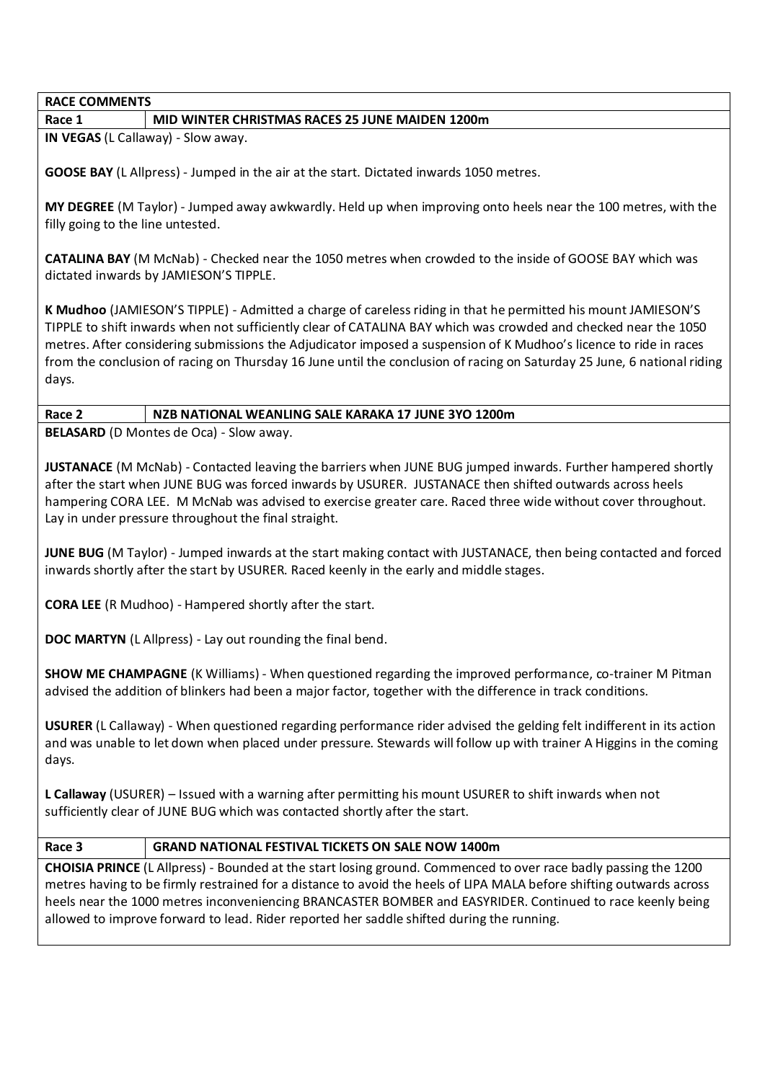#### **RACE COMMENTS**

#### **Race 1 MID WINTER CHRISTMAS RACES 25 JUNE MAIDEN 1200m**

**IN VEGAS** (L Callaway) - Slow away.

**GOOSE BAY** (L Allpress) - Jumped in the air at the start. Dictated inwards 1050 metres.

**MY DEGREE** (M Taylor) - Jumped away awkwardly. Held up when improving onto heels near the 100 metres, with the filly going to the line untested.

**CATALINA BAY** (M McNab) - Checked near the 1050 metres when crowded to the inside of GOOSE BAY which was dictated inwards by JAMIESON'S TIPPLE.

**K Mudhoo** (JAMIESON'S TIPPLE) - Admitted a charge of careless riding in that he permitted his mount JAMIESON'S TIPPLE to shift inwards when not sufficiently clear of CATALINA BAY which was crowded and checked near the 1050 metres. After considering submissions the Adjudicator imposed a suspension of K Mudhoo's licence to ride in races from the conclusion of racing on Thursday 16 June until the conclusion of racing on Saturday 25 June, 6 national riding days.

#### **Race 2 NZB NATIONAL WEANLING SALE KARAKA 17 JUNE 3YO 1200m**

**BELASARD** (D Montes de Oca) - Slow away.

**JUSTANACE** (M McNab) - Contacted leaving the barriers when JUNE BUG jumped inwards. Further hampered shortly after the start when JUNE BUG was forced inwards by USURER. JUSTANACE then shifted outwards across heels hampering CORA LEE. M McNab was advised to exercise greater care. Raced three wide without cover throughout. Lay in under pressure throughout the final straight.

**JUNE BUG** (M Taylor) - Jumped inwards at the start making contact with JUSTANACE, then being contacted and forced inwards shortly after the start by USURER. Raced keenly in the early and middle stages.

**CORA LEE** (R Mudhoo) - Hampered shortly after the start.

**DOC MARTYN** (L Allpress) - Lay out rounding the final bend.

**SHOW ME CHAMPAGNE** (K Williams) - When questioned regarding the improved performance, co-trainer M Pitman advised the addition of blinkers had been a major factor, together with the difference in track conditions.

**USURER** (L Callaway) - When questioned regarding performance rider advised the gelding felt indifferent in its action and was unable to let down when placed under pressure. Stewards will follow up with trainer A Higgins in the coming days.

**L Callaway** (USURER) – Issued with a warning after permitting his mount USURER to shift inwards when not sufficiently clear of JUNE BUG which was contacted shortly after the start.

#### **Race 3 GRAND NATIONAL FESTIVAL TICKETS ON SALE NOW 1400m**

**CHOISIA PRINCE** (L Allpress) - Bounded at the start losing ground. Commenced to over race badly passing the 1200 metres having to be firmly restrained for a distance to avoid the heels of LIPA MALA before shifting outwards across heels near the 1000 metres inconveniencing BRANCASTER BOMBER and EASYRIDER. Continued to race keenly being allowed to improve forward to lead. Rider reported her saddle shifted during the running.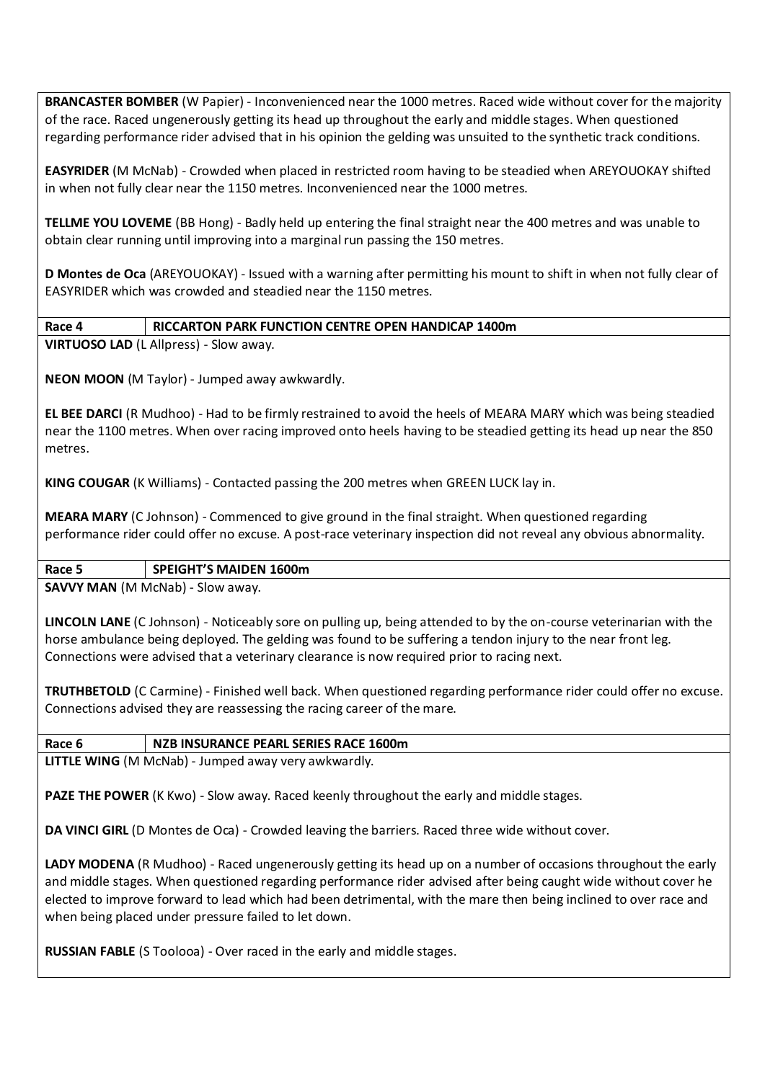**BRANCASTER BOMBER** (W Papier) - Inconvenienced near the 1000 metres. Raced wide without cover for the majority of the race. Raced ungenerously getting its head up throughout the early and middle stages. When questioned regarding performance rider advised that in his opinion the gelding was unsuited to the synthetic track conditions.

**EASYRIDER** (M McNab) - Crowded when placed in restricted room having to be steadied when AREYOUOKAY shifted in when not fully clear near the 1150 metres. Inconvenienced near the 1000 metres.

**TELLME YOU LOVEME** (BB Hong) - Badly held up entering the final straight near the 400 metres and was unable to obtain clear running until improving into a marginal run passing the 150 metres.

**D Montes de Oca** (AREYOUOKAY) - Issued with a warning after permitting his mount to shift in when not fully clear of EASYRIDER which was crowded and steadied near the 1150 metres.

### **Race 4 RICCARTON PARK FUNCTION CENTRE OPEN HANDICAP 1400m**

**VIRTUOSO LAD** (L Allpress) - Slow away.

**NEON MOON** (M Taylor) - Jumped away awkwardly.

**EL BEE DARCI** (R Mudhoo) - Had to be firmly restrained to avoid the heels of MEARA MARY which was being steadied near the 1100 metres. When over racing improved onto heels having to be steadied getting its head up near the 850 metres.

**KING COUGAR** (K Williams) - Contacted passing the 200 metres when GREEN LUCK lay in.

**MEARA MARY** (C Johnson) - Commenced to give ground in the final straight. When questioned regarding performance rider could offer no excuse. A post-race veterinary inspection did not reveal any obvious abnormality.

## **Race 5 SPEIGHT'S MAIDEN 1600m**

**SAVVY MAN** (M McNab) - Slow away.

**LINCOLN LANE** (C Johnson) - Noticeably sore on pulling up, being attended to by the on-course veterinarian with the horse ambulance being deployed. The gelding was found to be suffering a tendon injury to the near front leg. Connections were advised that a veterinary clearance is now required prior to racing next.

**TRUTHBETOLD** (C Carmine) - Finished well back. When questioned regarding performance rider could offer no excuse. Connections advised they are reassessing the racing career of the mare.

# **Race 6 NZB INSURANCE PEARL SERIES RACE 1600m**

**LITTLE WING** (M McNab) - Jumped away very awkwardly.

**PAZE THE POWER** (K Kwo) - Slow away. Raced keenly throughout the early and middle stages.

**DA VINCI GIRL** (D Montes de Oca) - Crowded leaving the barriers. Raced three wide without cover.

**LADY MODENA** (R Mudhoo) - Raced ungenerously getting its head up on a number of occasions throughout the early and middle stages. When questioned regarding performance rider advised after being caught wide without cover he elected to improve forward to lead which had been detrimental, with the mare then being inclined to over race and when being placed under pressure failed to let down.

**RUSSIAN FABLE** (S Toolooa) - Over raced in the early and middle stages.